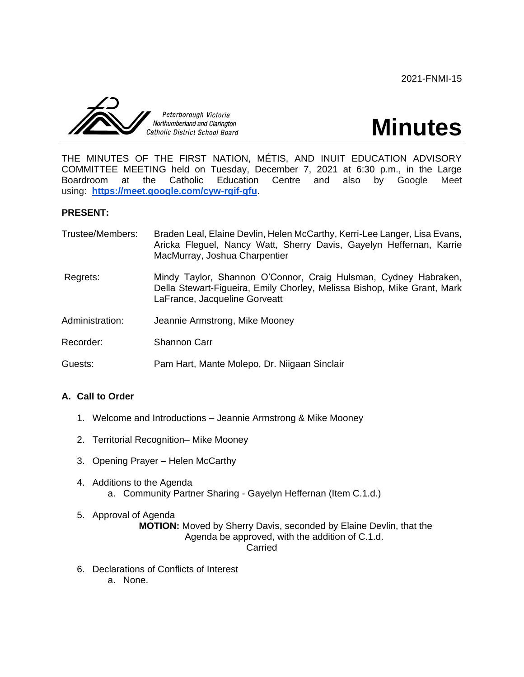2021-FNMI-15



# **Minutes**

THE MINUTES OF THE FIRST NATION, MÉTIS, AND INUIT EDUCATION ADVISORY COMMITTEE MEETING held on Tuesday, December 7, 2021 at 6:30 p.m., in the Large Boardroom at the Catholic Education Centre and also by Google Meet using: **<https://meet.google.com/cyw-rgif-gfu>**.

## **PRESENT:**

| Trustee/Members: | Braden Leal, Elaine Devlin, Helen McCarthy, Kerri-Lee Langer, Lisa Evans,<br>Aricka Fleguel, Nancy Watt, Sherry Davis, Gayelyn Heffernan, Karrie<br>MacMurray, Joshua Charpentier |
|------------------|-----------------------------------------------------------------------------------------------------------------------------------------------------------------------------------|
| Regrets:         | Mindy Taylor, Shannon O'Connor, Craig Hulsman, Cydney Habraken,<br>Della Stewart-Figueira, Emily Chorley, Melissa Bishop, Mike Grant, Mark<br>LaFrance, Jacqueline Gorveatt       |
| Administration:  | Jeannie Armstrong, Mike Mooney                                                                                                                                                    |
| Recorder:        | Shannon Carr                                                                                                                                                                      |
| Guests:          | Pam Hart, Mante Molepo, Dr. Niigaan Sinclair                                                                                                                                      |

## **A. Call to Order**

- 1. Welcome and Introductions Jeannie Armstrong & Mike Mooney
- 2. Territorial Recognition– Mike Mooney
- 3. Opening Prayer Helen McCarthy
- 4. Additions to the Agenda a. Community Partner Sharing - Gayelyn Heffernan (Item C.1.d.)

### 5. Approval of Agenda

 **MOTION:** Moved by Sherry Davis, seconded by Elaine Devlin, that the Agenda be approved, with the addition of C.1.d. **Carried** 

- 6. Declarations of Conflicts of Interest
	- a. None.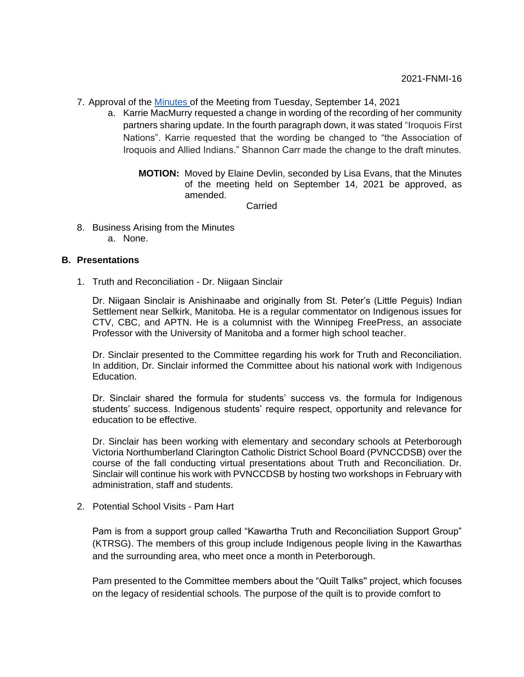- 7. Approval of the [Minutes o](https://drive.google.com/file/d/18M6rRshHmqW2n3sl6fsp4ajync03CVIA/view?usp=sharing)f the Meeting from Tuesday, September 14, 2021
	- a. Karrie MacMurry requested a change in wording of the recording of her community partners sharing update. In the fourth paragraph down, it was stated "Iroquois First Nations". Karrie requested that the wording be changed to "the Association of Iroquois and Allied Indians." Shannon Carr made the change to the draft minutes.

**MOTION:** Moved by Elaine Devlin, seconded by Lisa Evans, that the Minutes of the meeting held on September 14, 2021 be approved, as amended.

Carried

8. Business Arising from the Minutes a. None.

### **B. Presentations**

1. Truth and Reconciliation - Dr. Niigaan Sinclair

Dr. Niigaan Sinclair is Anishinaabe and originally from St. Peter's (Little Peguis) Indian Settlement near Selkirk, Manitoba. He is a regular commentator on Indigenous issues for CTV, CBC, and APTN. He is a columnist with the Winnipeg FreePress, an associate Professor with the University of Manitoba and a former high school teacher.

Dr. Sinclair presented to the Committee regarding his work for Truth and Reconciliation. In addition, Dr. Sinclair informed the Committee about his national work with Indigenous Education.

Dr. Sinclair shared the formula for students' success vs. the formula for Indigenous students' success. Indigenous students' require respect, opportunity and relevance for education to be effective.

Dr. Sinclair has been working with elementary and secondary schools at Peterborough Victoria Northumberland Clarington Catholic District School Board (PVNCCDSB) over the course of the fall conducting virtual presentations about Truth and Reconciliation. Dr. Sinclair will continue his work with PVNCCDSB by hosting two workshops in February with administration, staff and students.

## 2. Potential School Visits - Pam Hart

Pam is from a support group called "Kawartha Truth and Reconciliation Support Group" (KTRSG). The members of this group include Indigenous people living in the Kawarthas and the surrounding area, who meet once a month in Peterborough.

Pam presented to the Committee members about the "Quilt Talks'' project, which focuses on the legacy of residential schools. The purpose of the quilt is to provide comfort to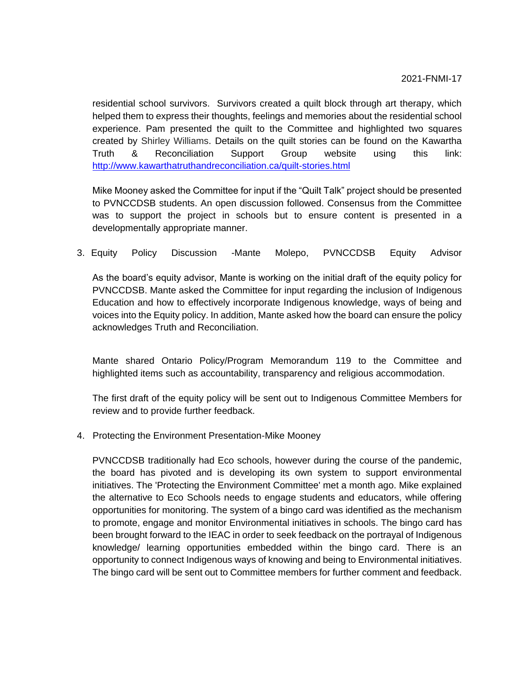residential school survivors. Survivors created a quilt block through art therapy, which helped them to express their thoughts, feelings and memories about the residential school experience. Pam presented the quilt to the Committee and highlighted two squares created by Shirley Williams. Details on the quilt stories can be found on the Kawartha Truth & Reconciliation Support Group website using this link: <http://www.kawarthatruthandreconciliation.ca/quilt-stories.html>

Mike Mooney asked the Committee for input if the "Quilt Talk" project should be presented to PVNCCDSB students. An open discussion followed. Consensus from the Committee was to support the project in schools but to ensure content is presented in a developmentally appropriate manner.

3. Equity Policy Discussion -Mante Molepo, PVNCCDSB Equity Advisor

As the board's equity advisor, Mante is working on the initial draft of the equity policy for PVNCCDSB. Mante asked the Committee for input regarding the inclusion of Indigenous Education and how to effectively incorporate Indigenous knowledge, ways of being and voices into the Equity policy. In addition, Mante asked how the board can ensure the policy acknowledges Truth and Reconciliation.

Mante shared Ontario Policy/Program Memorandum 119 to the Committee and highlighted items such as accountability, transparency and religious accommodation.

The first draft of the equity policy will be sent out to Indigenous Committee Members for review and to provide further feedback.

4. Protecting the Environment Presentation-Mike Mooney

PVNCCDSB traditionally had Eco schools, however during the course of the pandemic, the board has pivoted and is developing its own system to support environmental initiatives. The 'Protecting the Environment Committee' met a month ago. Mike explained the alternative to Eco Schools needs to engage students and educators, while offering opportunities for monitoring. The system of a bingo card was identified as the mechanism to promote, engage and monitor Environmental initiatives in schools. The bingo card has been brought forward to the IEAC in order to seek feedback on the portrayal of Indigenous knowledge/ learning opportunities embedded within the bingo card. There is an opportunity to connect Indigenous ways of knowing and being to Environmental initiatives. The bingo card will be sent out to Committee members for further comment and feedback.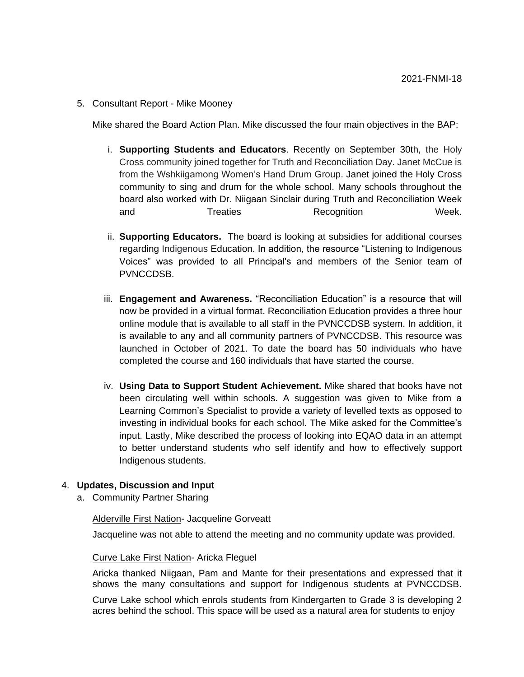5. Consultant Report - Mike Mooney

Mike shared the Board Action Plan. Mike discussed the four main objectives in the BAP:

- i. **Supporting Students and Educators**. Recently on September 30th, the Holy Cross community joined together for Truth and Reconciliation Day. Janet McCue is from the Wshkiigamong Women's Hand Drum Group. Janet joined the Holy Cross community to sing and drum for the whole school. Many schools throughout the board also worked with Dr. Niigaan Sinclair during Truth and Reconciliation Week and Treaties Recognition Week.
- ii. **Supporting Educators.** The board is looking at subsidies for additional courses regarding Indigenous Education. In addition, the resource "Listening to Indigenous Voices" was provided to all Principal's and members of the Senior team of PVNCCDSB.
- iii. **Engagement and Awareness.** "Reconciliation Education" is a resource that will now be provided in a virtual format. Reconciliation Education provides a three hour online module that is available to all staff in the PVNCCDSB system. In addition, it is available to any and all community partners of PVNCCDSB. This resource was launched in October of 2021. To date the board has 50 individuals who have completed the course and 160 individuals that have started the course.
- iv. **Using Data to Support Student Achievement.** Mike shared that books have not been circulating well within schools. A suggestion was given to Mike from a Learning Common's Specialist to provide a variety of levelled texts as opposed to investing in individual books for each school. The Mike asked for the Committee's input. Lastly, Mike described the process of looking into EQAO data in an attempt to better understand students who self identify and how to effectively support Indigenous students.

### 4. **Updates, Discussion and Input**

a. Community Partner Sharing

### Alderville First Nation- Jacqueline Gorveatt

Jacqueline was not able to attend the meeting and no community update was provided.

### Curve Lake First Nation- Aricka Fleguel

Aricka thanked Niigaan, Pam and Mante for their presentations and expressed that it shows the many consultations and support for Indigenous students at PVNCCDSB.

Curve Lake school which enrols students from Kindergarten to Grade 3 is developing 2 acres behind the school. This space will be used as a natural area for students to enjoy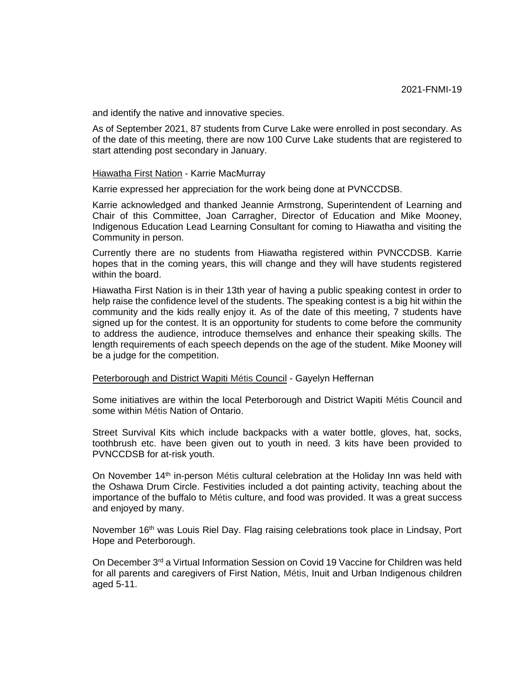and identify the native and innovative species.

As of September 2021, 87 students from Curve Lake were enrolled in post secondary. As of the date of this meeting, there are now 100 Curve Lake students that are registered to start attending post secondary in January.

#### **Hiawatha First Nation - Karrie MacMurray**

Karrie expressed her appreciation for the work being done at PVNCCDSB.

Karrie acknowledged and thanked Jeannie Armstrong, Superintendent of Learning and Chair of this Committee, Joan Carragher, Director of Education and Mike Mooney, Indigenous Education Lead Learning Consultant for coming to Hiawatha and visiting the Community in person.

Currently there are no students from Hiawatha registered within PVNCCDSB. Karrie hopes that in the coming years, this will change and they will have students registered within the board.

Hiawatha First Nation is in their 13th year of having a public speaking contest in order to help raise the confidence level of the students. The speaking contest is a big hit within the community and the kids really enjoy it. As of the date of this meeting, 7 students have signed up for the contest. It is an opportunity for students to come before the community to address the audience, introduce themselves and enhance their speaking skills. The length requirements of each speech depends on the age of the student. Mike Mooney will be a judge for the competition.

#### Peterborough and District Wapiti Métis Council - Gayelyn Heffernan

Some initiatives are within the local Peterborough and District Wapiti Métis Council and some within Métis Nation of Ontario.

Street Survival Kits which include backpacks with a water bottle, gloves, hat, socks, toothbrush etc. have been given out to youth in need. 3 kits have been provided to PVNCCDSB for at-risk youth.

On November 14th in-person Métis cultural celebration at the Holiday Inn was held with the Oshawa Drum Circle. Festivities included a dot painting activity, teaching about the importance of the buffalo to Métis culture, and food was provided. It was a great success and enjoyed by many.

November 16<sup>th</sup> was Louis Riel Day. Flag raising celebrations took place in Lindsay, Port Hope and Peterborough.

On December  $3<sup>rd</sup>$  a Virtual Information Session on Covid 19 Vaccine for Children was held for all parents and caregivers of First Nation, Métis, Inuit and Urban Indigenous children aged 5-11.